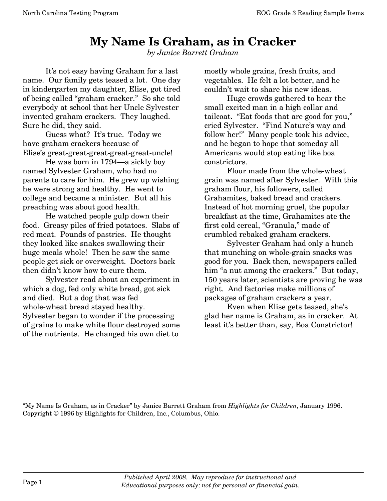## **My Name Is Graham, as in Cracker**

*by Janice Barrett Graham* 

 It's not easy having Graham for a last name. Our family gets teased a lot. One day in kindergarten my daughter, Elise, got tired of being called "graham cracker." So she told everybody at school that her Uncle Sylvester invented graham crackers. They laughed. Sure he did, they said.

 Guess what? It's true. Today we have graham crackers because of Elise's great-great-great-great-great-uncle!

 He was born in 1794–a sickly boy named Sylvester Graham, who had no parents to care for him. He grew up wishing he were strong and healthy. He went to college and became a minister. But all his preaching was about good health.

 He watched people gulp down their food. Greasy piles of fried potatoes. Slabs of red meat. Pounds of pastries. He thought they looked like snakes swallowing their huge meals whole! Then he saw the same people get sick or overweight. Doctors back then didn't know how to cure them.

 Sylvester read about an experiment in which a dog, fed only white bread, got sick and died. But a dog that was fed whole-wheat bread stayed healthy. Sylvester began to wonder if the processing of grains to make white flour destroyed some of the nutrients. He changed his own diet to

mostly whole grains, fresh fruits, and vegetables. He felt a lot better, and he couldn't wait to share his new ideas.

 Huge crowds gathered to hear the small excited man in a high collar and tailcoat. "Eat foods that are good for you," cried Sylvester. "Find Nature's way and follow her!" Many people took his advice, and he began to hope that someday all Americans would stop eating like boa constrictors.

 Flour made from the whole-wheat grain was named after Sylvester. With this graham flour, his followers, called Grahamites, baked bread and crackers. Instead of hot morning gruel, the popular breakfast at the time, Grahamites ate the first cold cereal, "Granula," made of crumbled rebaked graham crackers.

 Sylvester Graham had only a hunch that munching on whole-grain snacks was good for you. Back then, newspapers called him "a nut among the crackers." But today, 150 years later, scientists are proving he was right. And factories make millions of packages of graham crackers a year.

 Even when Elise gets teased, she's glad her name is Graham, as in cracker. At least it's better than, say, Boa Constrictor!

"My Name Is Graham, as in Cracker" by Janice Barrett Graham from *Highlights for Children*, January 1996. Copyright © 1996 by Highlights for Children, Inc., Columbus, Ohio.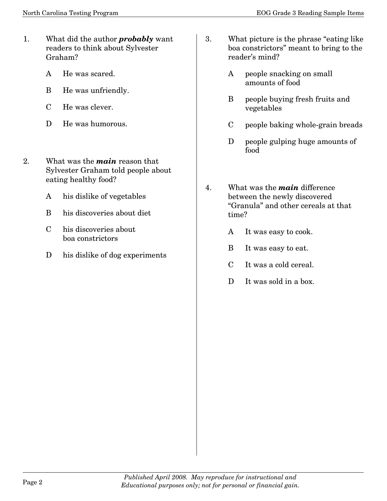- 1. What did the author *probably* want readers to think about Sylvester Graham?
	- A He was scared.
	- B He was unfriendly.
	- C He was clever.
	- D He was humorous.
- 2. What was the *main* reason that Sylvester Graham told people about eating healthy food?
	- A his dislike of vegetables
	- B his discoveries about diet
	- C his discoveries about boa constrictors
	- D his dislike of dog experiments
- 3. What picture is the phrase "eating like boa constrictors" meant to bring to the reader's mind?
	- A people snacking on small amounts of food
	- B people buying fresh fruits and vegetables
	- C people baking whole-grain breads
	- D people gulping huge amounts of food
- 4. What was the *main* difference between the newly discovered "Granula" and other cereals at that time?
	- A It was easy to cook.
	- B It was easy to eat.
	- C It was a cold cereal.
	- D It was sold in a box.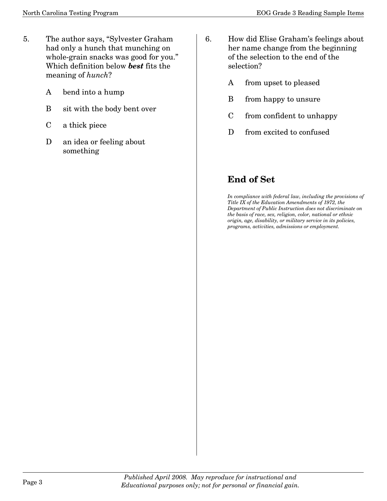- 5. The author says, "Sylvester Graham had only a hunch that munching on whole-grain snacks was good for you." Which definition below *best* fits the meaning of *hunch*?
	- A bend into a hump
	- B sit with the body bent over
	- C a thick piece
	- D an idea or feeling about something
- 6. How did Elise Graham's feelings about her name change from the beginning of the selection to the end of the selection?
	- A from upset to pleased
	- B from happy to unsure
	- C from confident to unhappy
	- D from excited to confused

## **End of Set**

*In compliance with federal law, including the provisions of Title IX of the Education Amendments of 1972, the Department of Public Instruction does not discriminate on the basis of race, sex, religion, color, national or ethnic origin, age, disability, or military service in its policies, programs, activities, admissions or employment.*